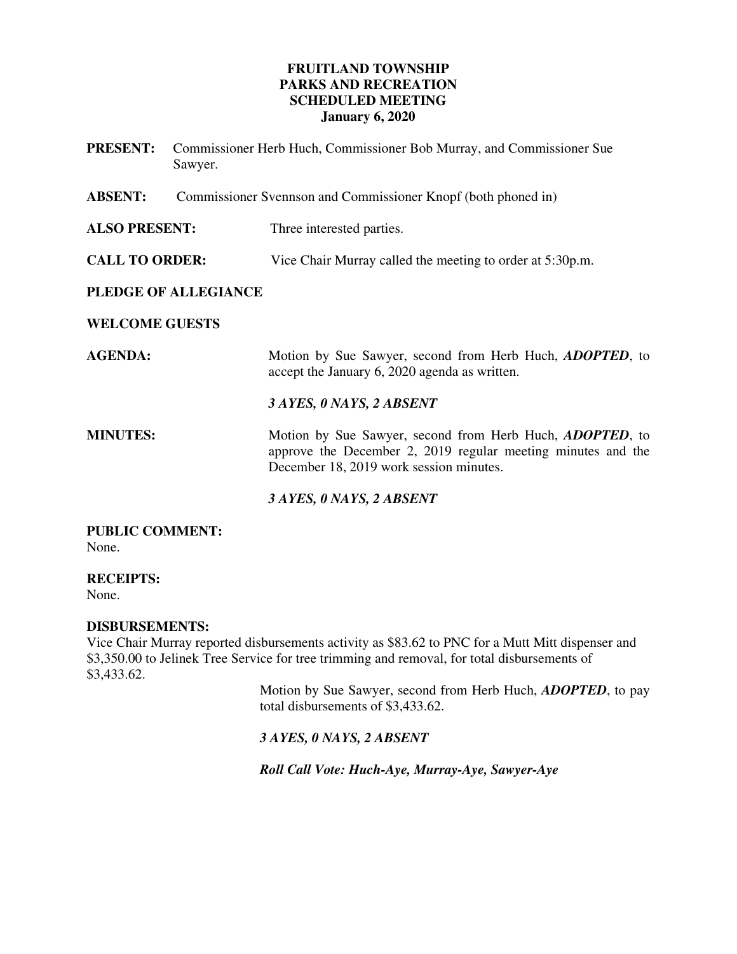# **FRUITLAND TOWNSHIP PARKS AND RECREATION SCHEDULED MEETING January 6, 2020**

| <b>PRESENT:</b>       | Commissioner Herb Huch, Commissioner Bob Murray, and Commissioner Sue<br>Sawyer. |                                                                                                                                                                             |
|-----------------------|----------------------------------------------------------------------------------|-----------------------------------------------------------------------------------------------------------------------------------------------------------------------------|
| <b>ABSENT:</b>        | Commissioner Svennson and Commissioner Knopf (both phoned in)                    |                                                                                                                                                                             |
| <b>ALSO PRESENT:</b>  |                                                                                  | Three interested parties.                                                                                                                                                   |
| <b>CALL TO ORDER:</b> |                                                                                  | Vice Chair Murray called the meeting to order at 5:30p.m.                                                                                                                   |
| PLEDGE OF ALLEGIANCE  |                                                                                  |                                                                                                                                                                             |
| <b>WELCOME GUESTS</b> |                                                                                  |                                                                                                                                                                             |
| <b>AGENDA:</b>        |                                                                                  | Motion by Sue Sawyer, second from Herb Huch, <i>ADOPTED</i> , to<br>accept the January 6, 2020 agenda as written.                                                           |
|                       |                                                                                  | 3 AYES, 0 NAYS, 2 ABSENT                                                                                                                                                    |
| <b>MINUTES:</b>       |                                                                                  | Motion by Sue Sawyer, second from Herb Huch, <i>ADOPTED</i> , to<br>approve the December 2, 2019 regular meeting minutes and the<br>December 18, 2019 work session minutes. |
|                       |                                                                                  | 3 AYES, 0 NAYS, 2 ABSENT                                                                                                                                                    |

**PUBLIC COMMENT:**  None.

**RECEIPTS:**  None.

# **DISBURSEMENTS:**

Vice Chair Murray reported disbursements activity as \$83.62 to PNC for a Mutt Mitt dispenser and \$3,350.00 to Jelinek Tree Service for tree trimming and removal, for total disbursements of \$3,433.62.

Motion by Sue Sawyer, second from Herb Huch, *ADOPTED*, to pay total disbursements of \$3,433.62.

# *3 AYES, 0 NAYS, 2 ABSENT*

*Roll Call Vote: Huch-Aye, Murray-Aye, Sawyer-Aye*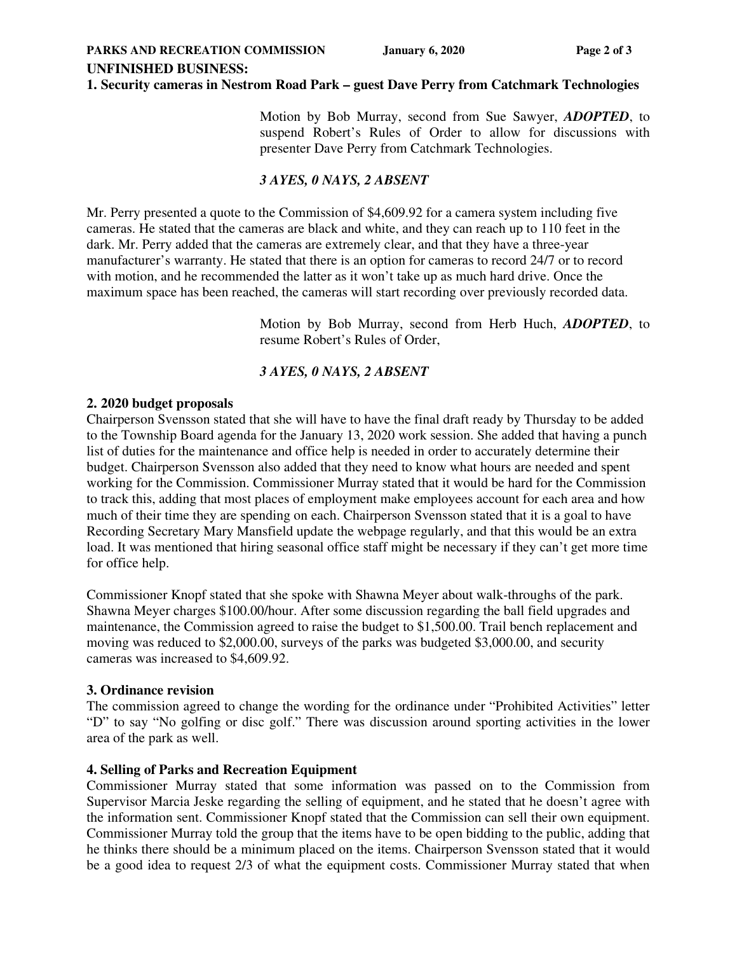**UNFINISHED BUSINESS:** 

### **1. Security cameras in Nestrom Road Park – guest Dave Perry from Catchmark Technologies**

Motion by Bob Murray, second from Sue Sawyer, *ADOPTED*, to suspend Robert's Rules of Order to allow for discussions with presenter Dave Perry from Catchmark Technologies.

# *3 AYES, 0 NAYS, 2 ABSENT*

Mr. Perry presented a quote to the Commission of \$4,609.92 for a camera system including five cameras. He stated that the cameras are black and white, and they can reach up to 110 feet in the dark. Mr. Perry added that the cameras are extremely clear, and that they have a three-year manufacturer's warranty. He stated that there is an option for cameras to record 24/7 or to record with motion, and he recommended the latter as it won't take up as much hard drive. Once the maximum space has been reached, the cameras will start recording over previously recorded data.

> Motion by Bob Murray, second from Herb Huch, *ADOPTED*, to resume Robert's Rules of Order,

# *3 AYES, 0 NAYS, 2 ABSENT*

### **2. 2020 budget proposals**

Chairperson Svensson stated that she will have to have the final draft ready by Thursday to be added to the Township Board agenda for the January 13, 2020 work session. She added that having a punch list of duties for the maintenance and office help is needed in order to accurately determine their budget. Chairperson Svensson also added that they need to know what hours are needed and spent working for the Commission. Commissioner Murray stated that it would be hard for the Commission to track this, adding that most places of employment make employees account for each area and how much of their time they are spending on each. Chairperson Svensson stated that it is a goal to have Recording Secretary Mary Mansfield update the webpage regularly, and that this would be an extra load. It was mentioned that hiring seasonal office staff might be necessary if they can't get more time for office help.

Commissioner Knopf stated that she spoke with Shawna Meyer about walk-throughs of the park. Shawna Meyer charges \$100.00/hour. After some discussion regarding the ball field upgrades and maintenance, the Commission agreed to raise the budget to \$1,500.00. Trail bench replacement and moving was reduced to \$2,000.00, surveys of the parks was budgeted \$3,000.00, and security cameras was increased to \$4,609.92.

### **3. Ordinance revision**

The commission agreed to change the wording for the ordinance under "Prohibited Activities" letter "D" to say "No golfing or disc golf." There was discussion around sporting activities in the lower area of the park as well.

# **4. Selling of Parks and Recreation Equipment**

Commissioner Murray stated that some information was passed on to the Commission from Supervisor Marcia Jeske regarding the selling of equipment, and he stated that he doesn't agree with the information sent. Commissioner Knopf stated that the Commission can sell their own equipment. Commissioner Murray told the group that the items have to be open bidding to the public, adding that he thinks there should be a minimum placed on the items. Chairperson Svensson stated that it would be a good idea to request 2/3 of what the equipment costs. Commissioner Murray stated that when